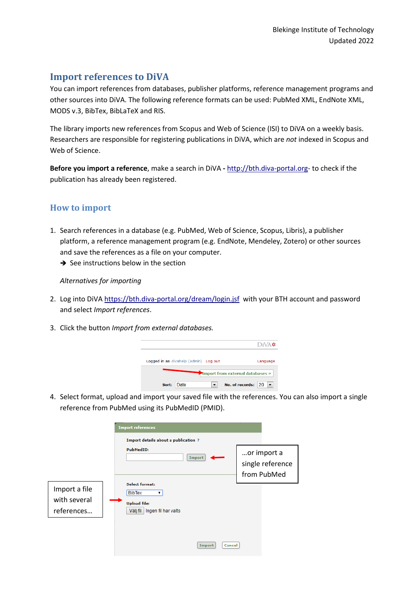## **Import references to DiVA**

You can import references from databases, publisher platforms, reference management programs and other sources into DiVA. The following reference formats can be used: PubMed XML, EndNote XML, MODS v.3, BibTex, BibLaTeX and RIS.

The library imports new references from Scopus and Web of Science (ISI) to DiVA on a weekly basis. Researchers are responsible for registering publications in DiVA, which are *not* indexed in Scopus and Web of Science.

 **Before you import a reference**, make a search in DiVA **-** [http://bth.diva-portal.org-](http://bth.diva-portal.org/) to check if the publication has already been registered.

### **How to import**

- and save the references as a file on your computer. 1. Search references in a database (e.g. PubMed, Web of Science, Scopus, Libris), a publisher platform, a reference management program (e.g. EndNote, Mendeley, Zotero) or other sources
	- $\rightarrow$  See instructions below i[n](#page-1-0) the section

#### *[Alternatives for importing](#page-1-0)*

- 2. Log into DiVA<https://bth.diva-portal.org/dream/login.jsf>with your BTH account and password and select *Import references*.
- 3. Click the button *Import from external databases.*



 4. Select format, upload and import your saved file with the references. You can also import a single reference from PubMed using its PubMedID (PMID).

|                                             | <b>Import references</b><br>Import details about a publication ?                                      |                                                |
|---------------------------------------------|-------------------------------------------------------------------------------------------------------|------------------------------------------------|
|                                             | <b>PubMedID:</b><br>Import                                                                            | or import a<br>single reference<br>from PubMed |
| Import a file<br>with several<br>references | <b>Select format:</b><br><b>BibTex</b><br>▼<br><b>Upload file:</b><br>Välj fil<br>Ingen fil har valts |                                                |
|                                             | Import<br><b>Cancel</b>                                                                               |                                                |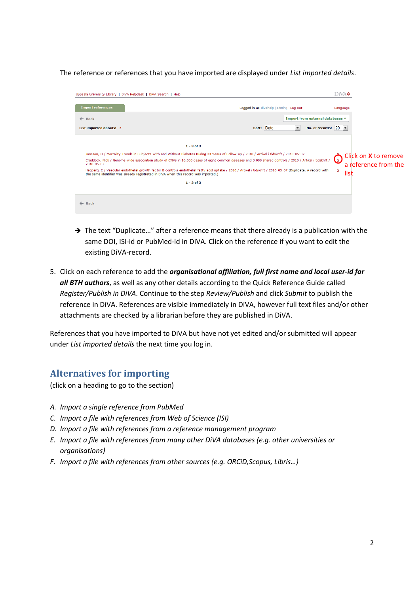The reference or references that you have imported are displayed under *List imported details*.

| Uppsala University Library   DiVA Helpdesk   DiVA Search   Help                                                                                                                                                                                                                 |                                                                                                                                                                                                                                                                                                                          | $DiVA$ $\star$                                                                |
|---------------------------------------------------------------------------------------------------------------------------------------------------------------------------------------------------------------------------------------------------------------------------------|--------------------------------------------------------------------------------------------------------------------------------------------------------------------------------------------------------------------------------------------------------------------------------------------------------------------------|-------------------------------------------------------------------------------|
| <b>Import references</b>                                                                                                                                                                                                                                                        | Logged in as divahelp (admin) Log out                                                                                                                                                                                                                                                                                    | Language                                                                      |
| $\leftarrow$ Back                                                                                                                                                                                                                                                               | Import from external databases »                                                                                                                                                                                                                                                                                         |                                                                               |
| <b>List imported details: ?</b>                                                                                                                                                                                                                                                 | $\blacktriangledown$<br>Sort: Date<br>No. of records: $20$ $\blacktriangledown$                                                                                                                                                                                                                                          |                                                                               |
| $1 - 3$ of 3<br>Jansson, O / Mortality Trends in Subjects With and Without Diabetes During 33 Years of Follow-up / 2010 / Artikel i tidskrift / 2010-05-07<br>2010-05-07<br>the same identifier was already registrated in DiVA when this record was imported.)<br>$1 - 3$ of 3 | Craddock, Nick / Genome-wide association study of CNVs in 16,000 cases of eight common diseases and 3,000 shared controls / 2010 / Artikel i tidskrift /<br>Hagberg, E / Vascular endothelial growth factor B controls endothelial fatty acid uptake / 2010 / Artikel i tidskrift / 2010-05-07 (Duplicate. A record with | Click on <b>X</b> to remove<br><u>(၂</u><br>a reference from the<br>×<br>list |
| $\leftarrow$ Back                                                                                                                                                                                                                                                               |                                                                                                                                                                                                                                                                                                                          |                                                                               |

- $\rightarrow$  The text "Duplicate..." after a reference means that there already is a publication with the same DOI, ISI-id or PubMed-id in DiVA. Click on the reference if you want to edit the existing DiVA-record.
- *Register/Publish in DiVA*. Continue to the step *Review/Publish* and click *Submit* to publish the 5. Click on each reference to add the *organisational affiliation, full first name and local user-id for all BTH authors*, as well as any other details according to the Quick Reference Guide called reference in DiVA. References are visible immediately in DiVA, however full text files and/or other attachments are checked by a librarian before they are published in DiVA.

<span id="page-1-0"></span> References that you have imported to DiVA but have not yet edited and/or submitted will appear under *List imported details* the next time you log in.

### **Alternatives for importing**

(click on a heading to go to the section)

- *[A. Import a single reference from PubMed](#page-2-0)*
- *[C. Import a file with references from Web of Science \(ISI\)](#page-2-1)*
- *[D. Import a file with references from a reference management program](#page-4-0)*
- *[E. Import a file with references from many other DiVA databases \(e.g. other universities or](#page-4-1)  [organisations\)](#page-4-1)*
- *[F. Import a file with references from other sources \(e.g. ORCiD,Scopus, Libris…\)](#page-6-0)*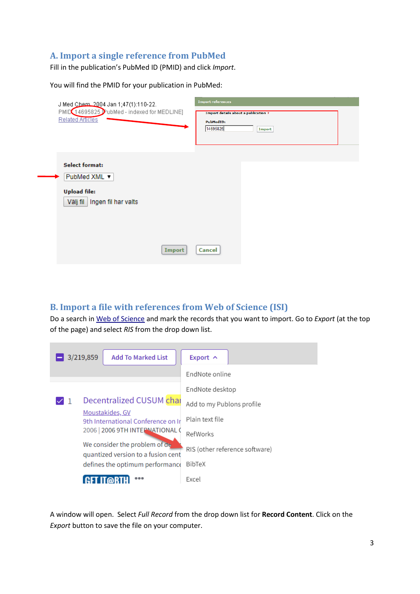### <span id="page-2-0"></span>A. Import a single reference from PubMed

Fill in the publication's PubMed ID (PMID) and click Import.

You will find the PMID for your publication in PubMed:

| J Med Chem. 2004 Jan 1;47(1):110-22.<br>PMID 14695825 PubMed - indexed for MEDLINE]<br><b>Related Articles</b> | <b>Import references</b><br><b>Import details about a publication?</b><br><b>PubMedID:</b><br>14695825<br>Import |  |
|----------------------------------------------------------------------------------------------------------------|------------------------------------------------------------------------------------------------------------------|--|
| <b>Select format:</b><br>PubMed XML ▼<br><b>Upload file:</b><br>Ingen fil har valts<br>Välj fil<br>Import      | <b>Cancel</b>                                                                                                    |  |

### <span id="page-2-1"></span>**B. Import a file with references from Web of Science (ISI)**

Do a search in Web of Science and mark the records that you want to import. Go to Export (at the top of the page) and select RIS from the drop down list.



A window will open. Select Full Record from the drop down list for Record Content. Click on the Export button to save the file on your computer.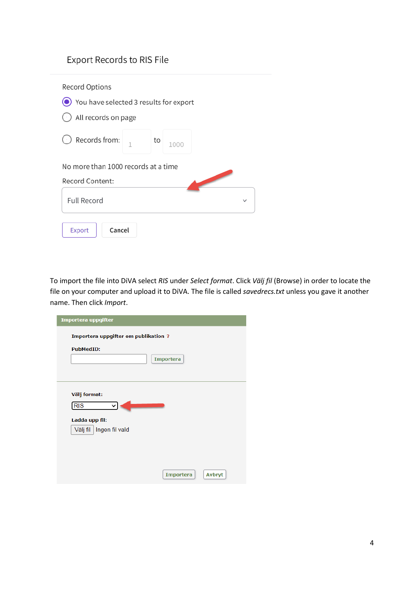# Export Records to RIS File

| Record Options                             |              |    |      |  |
|--------------------------------------------|--------------|----|------|--|
| (O) You have selected 3 results for export |              |    |      |  |
| () All records on page                     |              |    |      |  |
| Records from:                              | $\mathbf{1}$ | to | 1000 |  |
| No more than 1000 records at a time        |              |    |      |  |
| Record Content:                            |              |    |      |  |
| <b>Full Record</b>                         |              |    |      |  |
| Cancel<br>Export                           |              |    |      |  |

 file on your computer and upload it to DiVA. The file is called *savedrecs.txt* unless you gave it another To import the file into DiVA select *RIS* under *Select format*. Click *Välj fil* (Browse) in order to locate the name. Then click *Import*.

| Importera uppgifter                          |
|----------------------------------------------|
| Importera uppgifter om publikation ?         |
| <b>PubMedID:</b><br><b>Importera</b>         |
| Välj format:<br><b>RIS</b><br>◡              |
| Ladda upp fil:<br>Välj fil<br>Ingen fil vald |
| <b>Importera</b><br><b>Avbryt</b>            |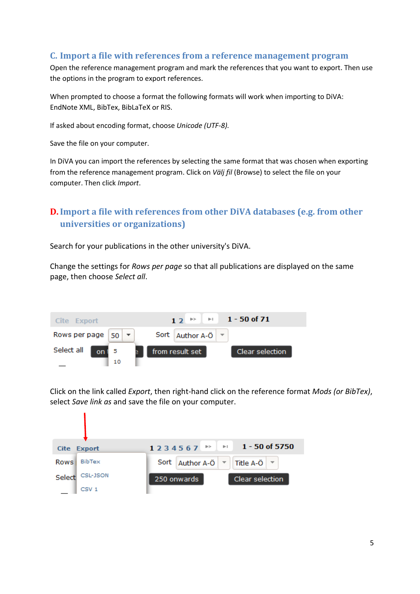#### <span id="page-4-0"></span>**C. Import a file with references from a reference management program**

 Open the reference management program and mark the references that you want to export. Then use the options in the program to export references.

 EndNote XML, BibTex, BibLaTeX or RIS. When prompted to choose a format the following formats will work when importing to DiVA:

If asked about encoding format, choose *Unicode (UTF-8).* 

Save the file on your computer.

 from the reference management program. Click on *Välj fil* (Browse) to select the file on your computer. Then click *Import*. In DiVA you can import the references by selecting the same format that was chosen when exporting

# <span id="page-4-1"></span>**D. Import a file with references from other DiVA databases (e.g. from other universities or organizations)**

Search for your publications in the other university's DiVA.

Change the settings for *Rows per page* so that all publications are displayed on the same page, then choose *Select all*.



 select *Save link as* and save the file on your computer. Click on the link called *Export*, then right-hand click on the reference format *Mods (or BibTex)*,

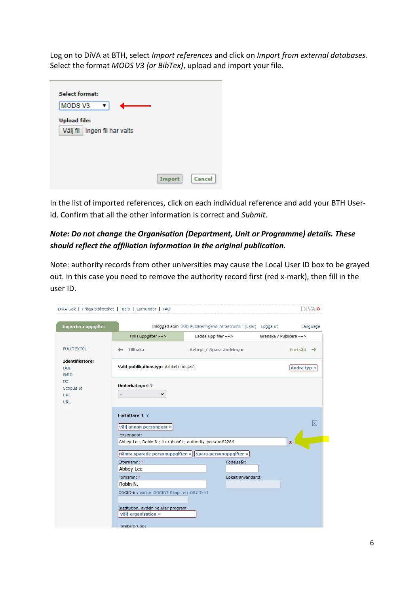Log on to DiVA at BTH, select Import references and click on Import from external databases. Select the format MODS V3 (or BibTex), upload and import your file.

| <b>Select format:</b>          |        |        |
|--------------------------------|--------|--------|
| MODS <sub>V3</sub>             |        |        |
| <b>Upload file:</b>            |        |        |
| Välj fil   Ingen fil har valts |        |        |
|                                |        |        |
|                                |        |        |
|                                |        |        |
|                                | Import | Cancel |
|                                |        |        |

In the list of imported references, click on each individual reference and add your BTH Userid. Confirm that all the other information is correct and Submit.

### Note: Do not change the Organisation (Department, Unit or Programme) details. These should reflect the affiliation information in the original publication.

Note: authority records from other universities may cause the Local User ID box to be grayed out. In this case you need to remove the authority record first (red x-mark), then fill in the user ID.

| Importera uppgifter                                 |                                                                         | Inloggad som UUB Publiceringens infrastruktur (user) Logga ut | Language                |
|-----------------------------------------------------|-------------------------------------------------------------------------|---------------------------------------------------------------|-------------------------|
|                                                     | Fyll i uppgifter -->                                                    | Ladda upp filer $--$                                          | Granska / Publicera --> |
| <b>FULLTEXT01</b>                                   | Tillbaka                                                                | Avbryt / Spara ändringar                                      | Fortsätt $\rightarrow$  |
| <b>Identifikatorer</b><br><b>DOI</b><br><b>PMID</b> | Vald publikationstyp: Artikel i tidskrift                               |                                                               | Ändra typ »             |
| <b>ISI</b><br>Scopus Id                             | <b>Underkategori?</b>                                                   |                                                               |                         |
| URL<br>URL                                          | $\checkmark$                                                            |                                                               |                         |
|                                                     | Författare 1 ?<br>Välj annan personpost »                               |                                                               | $\overline{\mathsf{x}}$ |
|                                                     |                                                                         |                                                               |                         |
|                                                     | Personpost:<br>Abbey-Lee, Robin N.; liu-robab01; authority-person:62286 |                                                               | ×                       |
|                                                     |                                                                         | Hämta sparade personuppgifter » Spara personuppgifter »       |                         |
|                                                     | Efternamn: *<br>Abbey-Lee                                               | Födelseår:                                                    |                         |
|                                                     | Förnamn: *                                                              | Lokalt användarid:                                            |                         |
|                                                     | Robin N.                                                                |                                                               |                         |
|                                                     | ORCID-id: Vad är ORCID? Skapa ett ORCID-id                              |                                                               |                         |